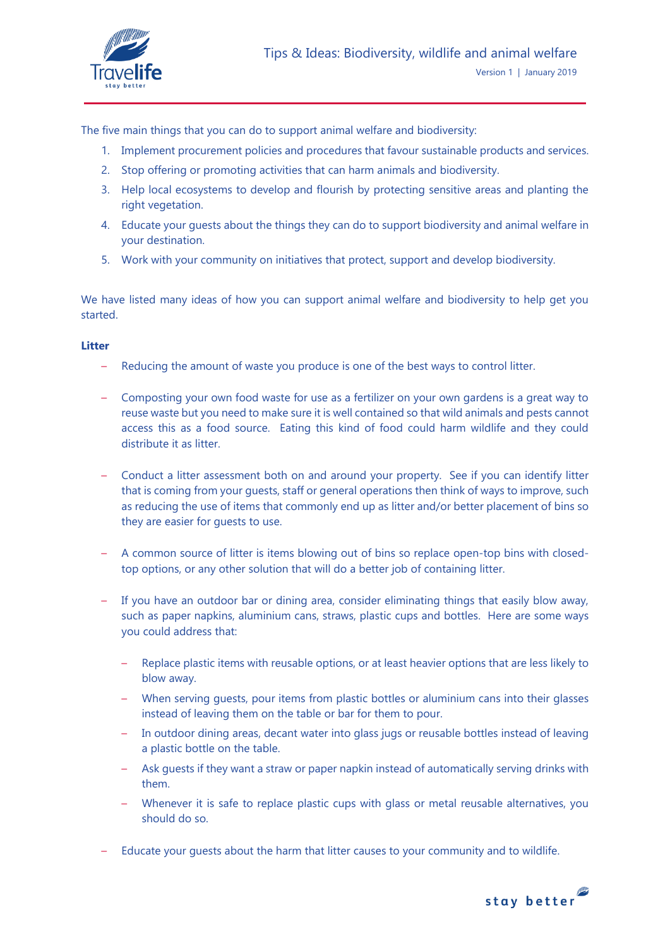

The five main things that you can do to support animal welfare and biodiversity:

- 1. Implement procurement policies and procedures that favour sustainable products and services.
- 2. Stop offering or promoting activities that can harm animals and biodiversity.
- 3. Help local ecosystems to develop and flourish by protecting sensitive areas and planting the right vegetation.
- 4. Educate your guests about the things they can do to support biodiversity and animal welfare in your destination.
- 5. Work with your community on initiatives that protect, support and develop biodiversity.

We have listed many ideas of how you can support animal welfare and biodiversity to help get you started.

## **Litter**

- Reducing the amount of waste you produce is one of the best ways to control litter.
- Composting your own food waste for use as a fertilizer on your own gardens is a great way to reuse waste but you need to make sure it is well contained so that wild animals and pests cannot access this as a food source. Eating this kind of food could harm wildlife and they could distribute it as litter.
- Conduct a litter assessment both on and around your property. See if you can identify litter that is coming from your guests, staff or general operations then think of ways to improve, such as reducing the use of items that commonly end up as litter and/or better placement of bins so they are easier for guests to use.
- A common source of litter is items blowing out of bins so replace open-top bins with closedtop options, or any other solution that will do a better job of containing litter.
- If you have an outdoor bar or dining area, consider eliminating things that easily blow away, such as paper napkins, aluminium cans, straws, plastic cups and bottles. Here are some ways you could address that:
	- Replace plastic items with reusable options, or at least heavier options that are less likely to blow away.
	- When serving guests, pour items from plastic bottles or aluminium cans into their glasses instead of leaving them on the table or bar for them to pour.
	- In outdoor dining areas, decant water into glass jugs or reusable bottles instead of leaving a plastic bottle on the table.
	- Ask guests if they want a straw or paper napkin instead of automatically serving drinks with them.
	- Whenever it is safe to replace plastic cups with glass or metal reusable alternatives, you should do so.
- Educate your guests about the harm that litter causes to your community and to wildlife.

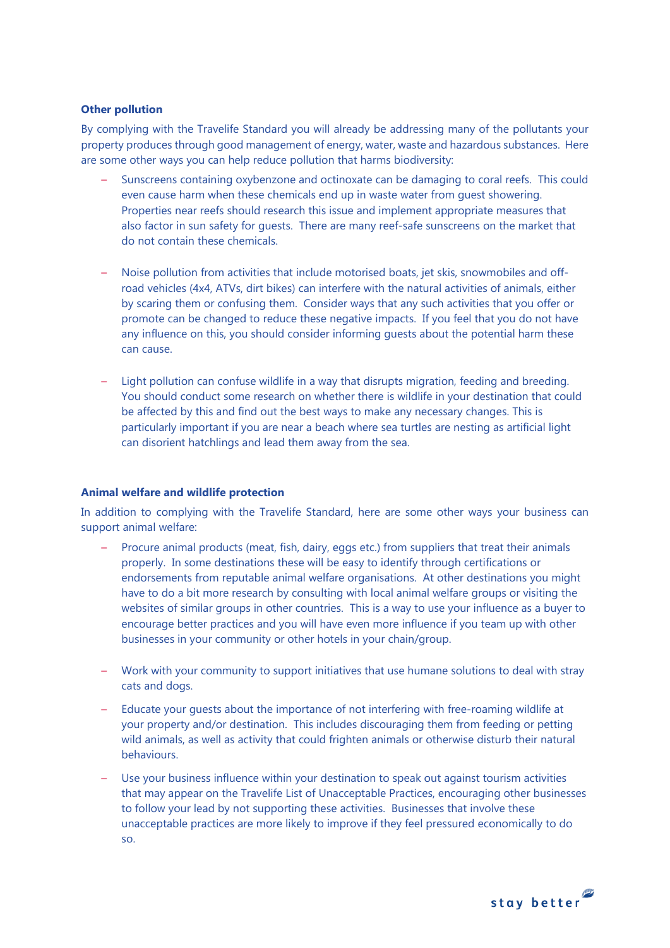## **Other pollution**

By complying with the Travelife Standard you will already be addressing many of the pollutants your property produces through good management of energy, water, waste and hazardous substances. Here are some other ways you can help reduce pollution that harms biodiversity:

- Sunscreens containing oxybenzone and octinoxate can be damaging to coral reefs. This could even cause harm when these chemicals end up in waste water from guest showering. Properties near reefs should research this issue and implement appropriate measures that also factor in sun safety for guests. There are many reef-safe sunscreens on the market that do not contain these chemicals.
- Noise pollution from activities that include motorised boats, jet skis, snowmobiles and offroad vehicles (4x4, ATVs, dirt bikes) can interfere with the natural activities of animals, either by scaring them or confusing them. Consider ways that any such activities that you offer or promote can be changed to reduce these negative impacts. If you feel that you do not have any influence on this, you should consider informing guests about the potential harm these can cause.
- Light pollution can confuse wildlife in a way that disrupts migration, feeding and breeding. You should conduct some research on whether there is wildlife in your destination that could be affected by this and find out the best ways to make any necessary changes. This is particularly important if you are near a beach where sea turtles are nesting as artificial light can disorient hatchlings and lead them away from the sea.

## **Animal welfare and wildlife protection**

In addition to complying with the Travelife Standard, here are some other ways your business can support animal welfare:

- Procure animal products (meat, fish, dairy, eggs etc.) from suppliers that treat their animals properly. In some destinations these will be easy to identify through certifications or endorsements from reputable animal welfare organisations. At other destinations you might have to do a bit more research by consulting with local animal welfare groups or visiting the websites of similar groups in other countries. This is a way to use your influence as a buyer to encourage better practices and you will have even more influence if you team up with other businesses in your community or other hotels in your chain/group.
- Work with your community to support initiatives that use humane solutions to deal with stray cats and dogs.
- Educate your guests about the importance of not interfering with free-roaming wildlife at your property and/or destination. This includes discouraging them from feeding or petting wild animals, as well as activity that could frighten animals or otherwise disturb their natural behaviours.
- Use your business influence within your destination to speak out against tourism activities that may appear on the Travelife List of Unacceptable Practices, encouraging other businesses to follow your lead by not supporting these activities. Businesses that involve these unacceptable practices are more likely to improve if they feel pressured economically to do so.

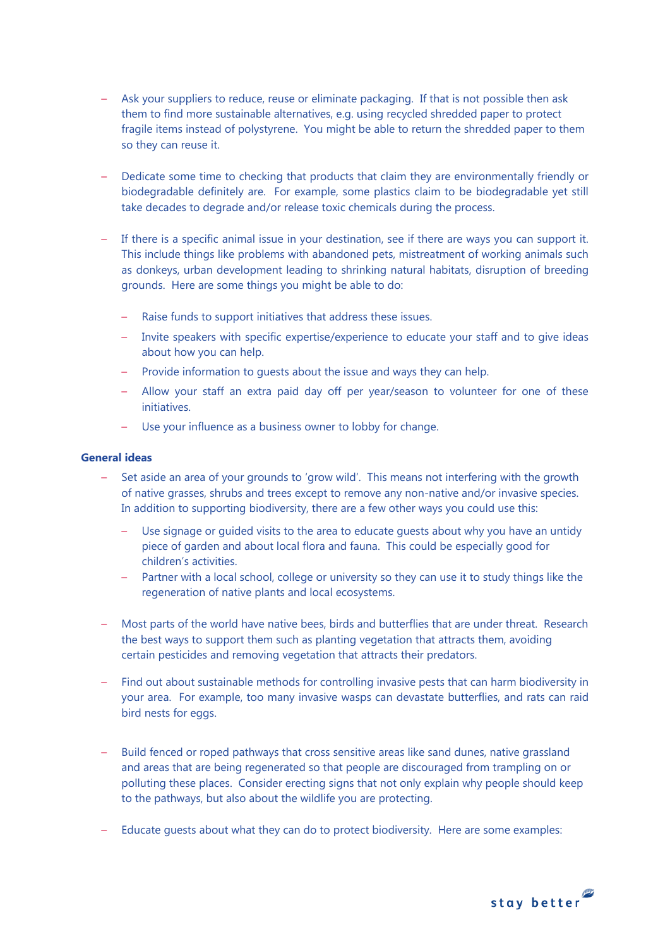- Ask your suppliers to reduce, reuse or eliminate packaging. If that is not possible then ask them to find more sustainable alternatives, e.g. using recycled shredded paper to protect fragile items instead of polystyrene. You might be able to return the shredded paper to them so they can reuse it.
- Dedicate some time to checking that products that claim they are environmentally friendly or biodegradable definitely are. For example, some plastics claim to be biodegradable yet still take decades to degrade and/or release toxic chemicals during the process.
- If there is a specific animal issue in your destination, see if there are ways you can support it. This include things like problems with abandoned pets, mistreatment of working animals such as donkeys, urban development leading to shrinking natural habitats, disruption of breeding grounds. Here are some things you might be able to do:
	- Raise funds to support initiatives that address these issues.
	- Invite speakers with specific expertise/experience to educate your staff and to give ideas about how you can help.
	- Provide information to guests about the issue and ways they can help.
	- Allow your staff an extra paid day off per year/season to volunteer for one of these initiatives.
	- Use your influence as a business owner to lobby for change.

## **General ideas**

- Set aside an area of your grounds to 'grow wild'. This means not interfering with the growth of native grasses, shrubs and trees except to remove any non-native and/or invasive species. In addition to supporting biodiversity, there are a few other ways you could use this:
	- Use signage or guided visits to the area to educate guests about why you have an untidy piece of garden and about local flora and fauna. This could be especially good for children's activities.
	- Partner with a local school, college or university so they can use it to study things like the regeneration of native plants and local ecosystems.
- Most parts of the world have native bees, birds and butterflies that are under threat. Research the best ways to support them such as planting vegetation that attracts them, avoiding certain pesticides and removing vegetation that attracts their predators.
- Find out about sustainable methods for controlling invasive pests that can harm biodiversity in your area. For example, too many invasive wasps can devastate butterflies, and rats can raid bird nests for eggs.
- Build fenced or roped pathways that cross sensitive areas like sand dunes, native grassland and areas that are being regenerated so that people are discouraged from trampling on or polluting these places. Consider erecting signs that not only explain why people should keep to the pathways, but also about the wildlife you are protecting.
- Educate guests about what they can do to protect biodiversity. Here are some examples: